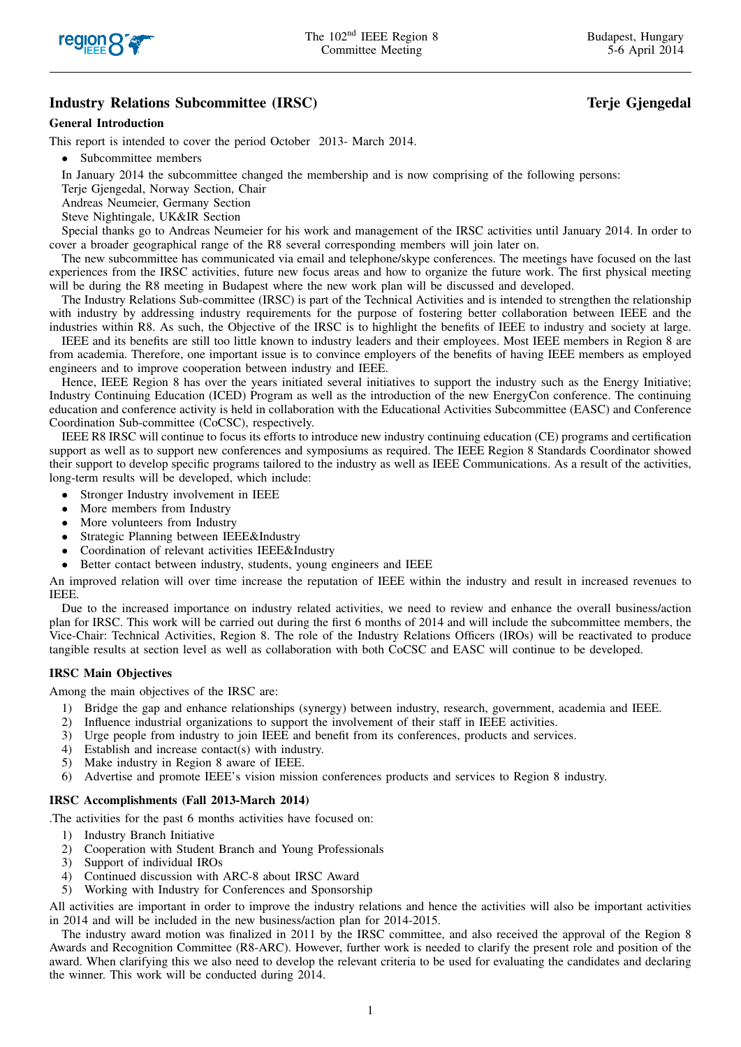

# Industry Relations Subcommittee (IRSC) and the control of the Community of the George of Terje Gjengedal

## General Introduction

This report is intended to cover the period October 2013- March 2014.

• Subcommittee members

In January 2014 the subcommittee changed the membership and is now comprising of the following persons:

Terie Giengedal, Norway Section, Chair

Andreas Neumeier, Germany Section

Steve Nightingale, UK&IR Section

Special thanks go to Andreas Neumeier for his work and management of the IRSC activities until January 2014. In order to cover a broader geographical range of the R8 several corresponding members will join later on.

The new subcommittee has communicated via email and telephone/skype conferences. The meetings have focused on the last experiences from the IRSC activities, future new focus areas and how to organize the future work. The first physical meeting will be during the R8 meeting in Budapest where the new work plan will be discussed and developed.

The Industry Relations Sub-committee (IRSC) is part of the Technical Activities and is intended to strengthen the relationship with industry by addressing industry requirements for the purpose of fostering better collaboration between IEEE and the industries within R8. As such, the Objective of the IRSC is to highlight the benefits of IEEE to industry and society at large.

IEEE and its benefits are still too little known to industry leaders and their employees. Most IEEE members in Region 8 are from academia. Therefore, one important issue is to convince employers of the benefits of having IEEE members as employed engineers and to improve cooperation between industry and IEEE.

Hence, IEEE Region 8 has over the years initiated several initiatives to support the industry such as the Energy Initiative; Industry Continuing Education (ICED) Program as well as the introduction of the new EnergyCon conference. The continuing education and conference activity is held in collaboration with the Educational Activities Subcommittee (EASC) and Conference Coordination Sub-committee (CoCSC), respectively.

IEEE R8 IRSC will continue to focus its efforts to introduce new industry continuing education (CE) programs and certification support as well as to support new conferences and symposiums as required. The IEEE Region 8 Standards Coordinator showed their support to develop specific programs tailored to the industry as well as IEEE Communications. As a result of the activities, long-term results will be developed, which include:

- Stronger Industry involvement in IEEE
- More members from Industry
- More volunteers from Industry
- Strategic Planning between IEEE&Industry
- Coordination of relevant activities IEEE&Industry
- Better contact between industry, students, young engineers and IEEE

An improved relation will over time increase the reputation of IEEE within the industry and result in increased revenues to IEEE.

Due to the increased importance on industry related activities, we need to review and enhance the overall business/action plan for IRSC. This work will be carried out during the first 6 months of 2014 and will include the subcommittee members, the Vice-Chair: Technical Activities, Region 8. The role of the Industry Relations Officers (IROs) will be reactivated to produce tangible results at section level as well as collaboration with both CoCSC and EASC will continue to be developed.

# IRSC Main Objectives

Among the main objectives of the IRSC are:

- 1) Bridge the gap and enhance relationships (synergy) between industry, research, government, academia and IEEE.
- 2) Influence industrial organizations to support the involvement of their staff in IEEE activities.
- 3) Urge people from industry to join IEEE and benefit from its conferences, products and services.
- 4) Establish and increase contact(s) with industry.
- 5) Make industry in Region 8 aware of IEEE.
- 6) Advertise and promote IEEE's vision mission conferences products and services to Region 8 industry.

#### IRSC Accomplishments (Fall 2013-March 2014)

.The activities for the past 6 months activities have focused on:

- 1) Industry Branch Initiative
- 2) Cooperation with Student Branch and Young Professionals<br>3) Support of individual IROs
- Support of individual IROs
- 4) Continued discussion with ARC-8 about IRSC Award
- 5) Working with Industry for Conferences and Sponsorship

All activities are important in order to improve the industry relations and hence the activities will also be important activities in 2014 and will be included in the new business/action plan for 2014-2015.

The industry award motion was finalized in 2011 by the IRSC committee, and also received the approval of the Region 8 Awards and Recognition Committee (R8-ARC). However, further work is needed to clarify the present role and position of the award. When clarifying this we also need to develop the relevant criteria to be used for evaluating the candidates and declaring the winner. This work will be conducted during 2014.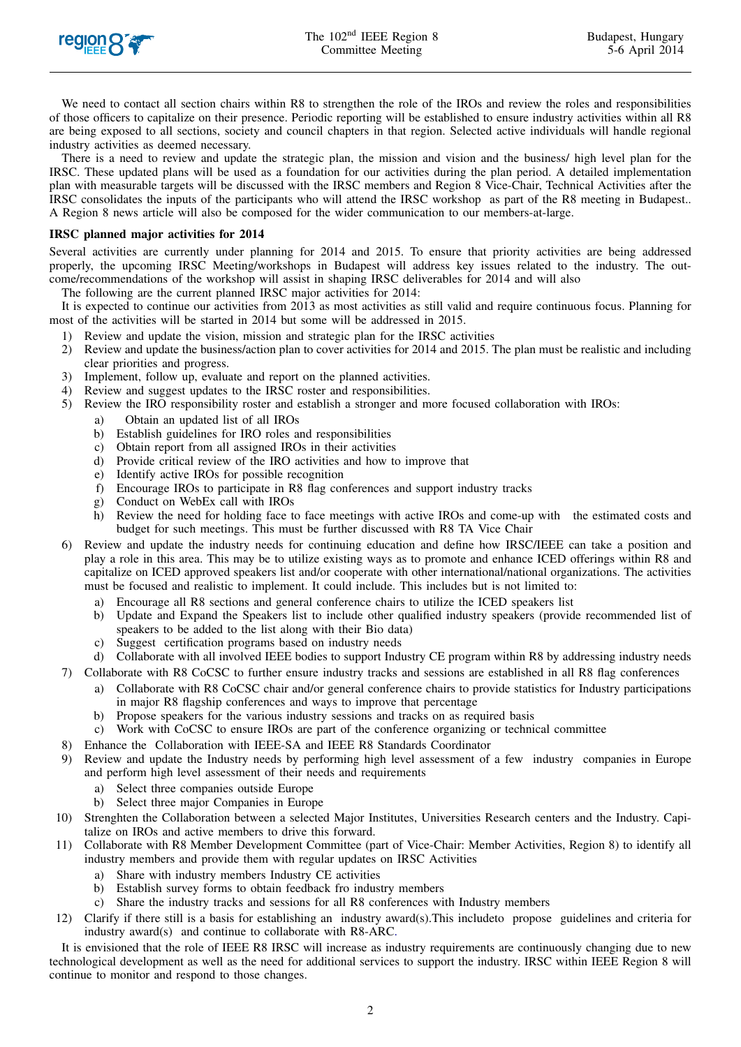

We need to contact all section chairs within R8 to strengthen the role of the IROs and review the roles and responsibilities of those officers to capitalize on their presence. Periodic reporting will be established to ensure industry activities within all R8 are being exposed to all sections, society and council chapters in that region. Selected active individuals will handle regional industry activities as deemed necessary.

There is a need to review and update the strategic plan, the mission and vision and the business/ high level plan for the IRSC. These updated plans will be used as a foundation for our activities during the plan period. A detailed implementation plan with measurable targets will be discussed with the IRSC members and Region 8 Vice-Chair, Technical Activities after the IRSC consolidates the inputs of the participants who will attend the IRSC workshop as part of the R8 meeting in Budapest.. A Region 8 news article will also be composed for the wider communication to our members-at-large.

## IRSC planned major activities for 2014

Several activities are currently under planning for 2014 and 2015. To ensure that priority activities are being addressed properly, the upcoming IRSC Meeting/workshops in Budapest will address key issues related to the industry. The outcome/recommendations of the workshop will assist in shaping IRSC deliverables for 2014 and will also

The following are the current planned IRSC major activities for 2014:

It is expected to continue our activities from 2013 as most activities as still valid and require continuous focus. Planning for most of the activities will be started in 2014 but some will be addressed in 2015.

- 1) Review and update the vision, mission and strategic plan for the IRSC activities
- 2) Review and update the business/action plan to cover activities for 2014 and 2015. The plan must be realistic and including clear priorities and progress.
- 3) Implement, follow up, evaluate and report on the planned activities.
- 4) Review and suggest updates to the IRSC roster and responsibilities.
- 5) Review the IRO responsibility roster and establish a stronger and more focused collaboration with IROs:
	- a) Obtain an updated list of all IROs
	- b) Establish guidelines for IRO roles and responsibilities
	- c) Obtain report from all assigned IROs in their activities
	- d) Provide critical review of the IRO activities and how to improve that
	- e) Identify active IROs for possible recognition
	- f) Encourage IROs to participate in R8 flag conferences and support industry tracks
	- g) Conduct on WebEx call with IROs
	- h) Review the need for holding face to face meetings with active IROs and come-up with the estimated costs and budget for such meetings. This must be further discussed with R8 TA Vice Chair
- 6) Review and update the industry needs for continuing education and define how IRSC/IEEE can take a position and play a role in this area. This may be to utilize existing ways as to promote and enhance ICED offerings within R8 and capitalize on ICED approved speakers list and/or cooperate with other international/national organizations. The activities must be focused and realistic to implement. It could include. This includes but is not limited to:
	- a) Encourage all R8 sections and general conference chairs to utilize the ICED speakers list
	- b) Update and Expand the Speakers list to include other qualified industry speakers (provide recommended list of speakers to be added to the list along with their Bio data)
	- c) Suggest certification programs based on industry needs

d) Collaborate with all involved IEEE bodies to support Industry CE program within R8 by addressing industry needs

- 7) Collaborate with R8 CoCSC to further ensure industry tracks and sessions are established in all R8 flag conferences
	- a) Collaborate with R8 CoCSC chair and/or general conference chairs to provide statistics for Industry participations in major R8 flagship conferences and ways to improve that percentage
		- b) Propose speakers for the various industry sessions and tracks on as required basis
		- c) Work with CoCSC to ensure IROs are part of the conference organizing or technical committee
- 8) Enhance the Collaboration with IEEE-SA and IEEE R8 Standards Coordinator
- 9) Review and update the Industry needs by performing high level assessment of a few industry companies in Europe and perform high level assessment of their needs and requirements
	- a) Select three companies outside Europe
	- b) Select three major Companies in Europe
- 10) Strenghten the Collaboration between a selected Major Institutes, Universities Research centers and the Industry. Capitalize on IROs and active members to drive this forward.
- 11) Collaborate with R8 Member Development Committee (part of Vice-Chair: Member Activities, Region 8) to identify all industry members and provide them with regular updates on IRSC Activities
	- a) Share with industry members Industry CE activities
	- b) Establish survey forms to obtain feedback fro industry members
	- c) Share the industry tracks and sessions for all R8 conferences with Industry members
- 12) Clarify if there still is a basis for establishing an industry award(s).This includeto propose guidelines and criteria for industry award(s) and continue to collaborate with R8-ARC.

It is envisioned that the role of IEEE R8 IRSC will increase as industry requirements are continuously changing due to new technological development as well as the need for additional services to support the industry. IRSC within IEEE Region 8 will continue to monitor and respond to those changes.